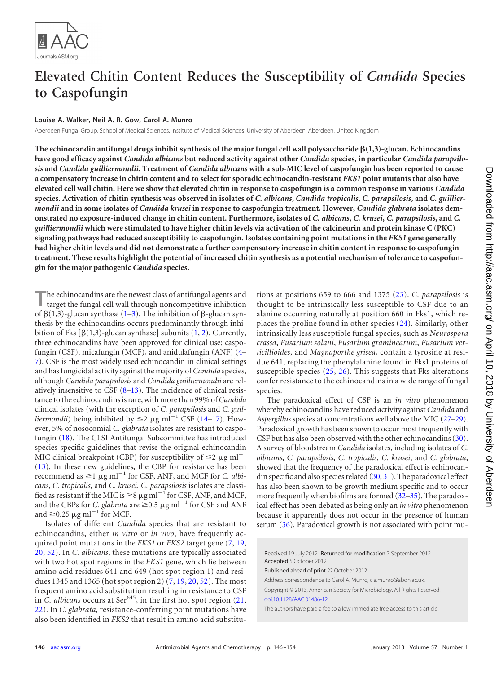

# **Elevated Chitin Content Reduces the Susceptibility of** *Candida* **Species to Caspofungin**

# **Louise A. Walker, Neil A. R. Gow, Carol A. Munro**

Aberdeen Fungal Group, School of Medical Sciences, Institute of Medical Sciences, University of Aberdeen, Aberdeen, United Kingdom

The echinocandin antifungal drugs inhibit synthesis of the major fungal cell wall polysaccharide  $\beta(1,3)$ -glucan. Echinocandins **have good efficacy against** *Candida albicans* **but reduced activity against other** *Candida* **species, in particular** *Candida parapsilosis* **and** *Candida guilliermondii***. Treatment of** *Candida albicans* **with a sub-MIC level of caspofungin has been reported to cause a compensatory increase in chitin content and to select for sporadic echinocandin-resistant** *FKS1* **point mutants that also have elevated cell wall chitin. Here we show that elevated chitin in response to caspofungin is a common response in various** *Candida* **species. Activation of chitin synthesis was observed in isolates of** *C. albicans***,** *Candida tropicalis***,** *C. parapsilosis***, and** *C. guilliermondii* **and in some isolates of** *Candida krusei* **in response to caspofungin treatment. However,** *Candida glabrata* **isolates demonstrated no exposure-induced change in chitin content. Furthermore, isolates of** *C. albicans***,** *C. krusei***,** *C. parapsilosis***, and** *C. guilliermondii* **which were stimulated to have higher chitin levels via activation of the calcineurin and protein kinase C (PKC) signaling pathways had reduced susceptibility to caspofungin. Isolates containing point mutations in the** *FKS1* **gene generally had higher chitin levels and did not demonstrate a further compensatory increase in chitin content in response to caspofungin treatment. These results highlight the potential of increased chitin synthesis as a potential mechanism of tolerance to caspofungin for the major pathogenic** *Candida* **species.**

**T**he echinocandins are the newest class of antifungal agents and target the fungal cell wall through noncompetitive inhibition of  $\beta(1,3)$  $\beta(1,3)$  $\beta(1,3)$ -glucan synthase (1[–3\)](#page-7-1). The inhibition of  $\beta$ -glucan synthesis by the echinocandins occurs predominantly through inhibition of Fks  $[\beta(1,3)$  $[\beta(1,3)$  $[\beta(1,3)$ -glucan synthase] subunits  $(1, 2)$  $(1, 2)$ . Currently, three echinocandins have been approved for clinical use: caspofungin (CSF), micafungin (MCF), and anidulafungin (ANF) [\(4–](#page-7-3) [7\)](#page-7-4). CSF is the most widely used echinocandin in clinical settings and has fungicidal activity against the majority of *Candida* species, although *Candida parapsilosis* and *Candida guilliermondii* are relatively insensitive to CSF  $(8-13)$  $(8-13)$ . The incidence of clinical resistance to the echinocandins is rare, with more than 99% of*Candida* clinical isolates (with the exception of *C. parapsilosis* and *C. guilliermondii*) being inhibited by  $\leq$  2  $\mu$ g ml<sup>-1</sup> CSF [\(14–](#page-7-7)[17\)](#page-7-8). However, 5% of nosocomial *C. glabrata* isolates are resistant to caspofungin [\(18\)](#page-7-9). The CLSI Antifungal Subcommittee has introduced species-specific guidelines that revise the original echinocandin MIC clinical breakpoint (CBP) for susceptibility of  $\leq$  2  $\mu$ g ml<sup>-1</sup> [\(13\)](#page-7-6). In these new guidelines, the CBP for resistance has been recommend as  $\geq 1 \mu g$  ml<sup>-1</sup> for CSF, ANF, and MCF for *C. albicans*, *C. tropicalis*, and *C. krusei. C. parapsilosis* isolates are classified as resistant if the MIC is  $\geq$ 8  $\mu$ g ml<sup>-1</sup> for CSF, ANF, and MCF, and the CBPs for *C. glabrata* are  $\geq$ 0.5  $\mu$ g ml<sup>-1</sup> for CSF and ANF and  $\geq$ 0.25 µg ml<sup>-1</sup> for MCF.

Isolates of different *Candida* species that are resistant to echinocandins, either *in vitro* or *in vivo*, have frequently acquired point mutations in the *FKS1* or *FKS2* target gene [\(7,](#page-7-4) [19,](#page-7-10) [20,](#page-8-0) [52\)](#page-8-1). In *C. albicans*, these mutations are typically associated with two hot spot regions in the *FKS1* gene, which lie between amino acid residues 641 and 649 (hot spot region 1) and residues 1345 and 1365 (hot spot region 2) [\(7,](#page-7-4) [19,](#page-7-10) [20,](#page-8-0) [52\)](#page-8-1). The most frequent amino acid substitution resulting in resistance to CSF in *C. albicans* occurs at Ser<sup>645</sup>, in the first hot spot region [\(21,](#page-8-2) [22\)](#page-8-3). In *C. glabrata*, resistance-conferring point mutations have also been identified in *FKS2* that result in amino acid substitutions at positions 659 to 666 and 1375 [\(23\)](#page-8-4). *C. parapsilosis* is thought to be intrinsically less susceptible to CSF due to an alanine occurring naturally at position 660 in Fks1, which replaces the proline found in other species [\(24\)](#page-8-5). Similarly, other intrinsically less susceptible fungal species, such as *Neurospora crassa*, *Fusarium solani*, *Fusarium graminearum*, *Fusarium verticillioides*, and *Magnaporthe grisea*, contain a tyrosine at residue 641, replacing the phenylalanine found in Fks1 proteins of susceptible species [\(25,](#page-8-6) [26\)](#page-8-7). This suggests that Fks alterations confer resistance to the echinocandins in a wide range of fungal species.

The paradoxical effect of CSF is an *in vitro* phenomenon whereby echinocandins have reduced activity against*Candida* and *Aspergillus* species at concentrations well above the MIC [\(27–](#page-8-8)[29\)](#page-8-9). Paradoxical growth has been shown to occur most frequently with CSF but has also been observed with the other echinocandins [\(30\)](#page-8-10). A survey of bloodstream *Candida* isolates, including isolates of *C. albicans*, *C. parapsilosis*, *C. tropicalis*, *C. krusei*, and *C. glabrata*, showed that the frequency of the paradoxical effect is echinocandin specific and also species related [\(30,](#page-8-10) [31\)](#page-8-11). The paradoxical effect has also been shown to be growth medium specific and to occur more frequently when biofilms are formed [\(32–](#page-8-12)[35\)](#page-8-13). The paradoxical effect has been debated as being only an *in vitro* phenomenon because it apparently does not occur in the presence of human serum [\(36\)](#page-8-14). Paradoxical growth is not associated with point mu-

Received 19 July 2012 Returned for modification 7 September 2012 Accepted 5 October 2012

Published ahead of print 22 October 2012

Address correspondence to Carol A. Munro, c.a.munro@abdn.ac.uk.

Copyright © 2013, American Society for Microbiology. All Rights Reserved. [doi:10.1128/AAC.01486-12](http://dx.doi.org/10.1128/AAC.01486-12)

The authors have paid a fee to allow immediate free access to this article.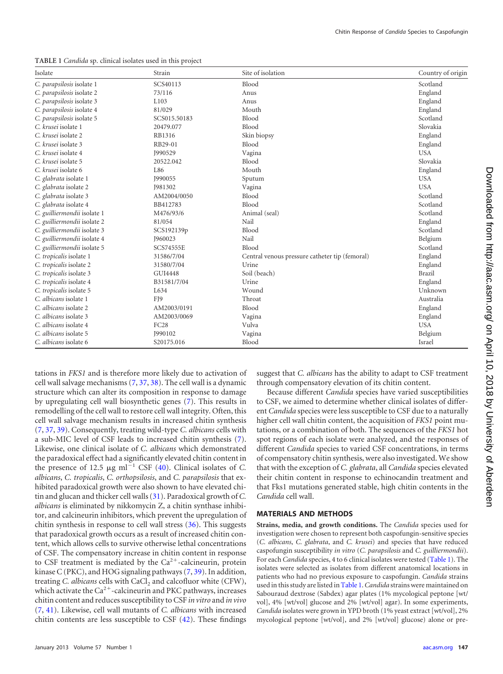<span id="page-1-0"></span>**TABLE 1** *Candida* sp. clinical isolates used in this project

| Isolate                     | Strain           | Site of isolation                              | Country of origin |
|-----------------------------|------------------|------------------------------------------------|-------------------|
| C. parapsilosis isolate 1   | SCS40113         | Blood                                          | Scotland          |
| C. parapsilosis isolate 2   | 73/116           | Anus                                           | England           |
| C. parapsilosis isolate 3   | L103             | Anus                                           | England           |
| C. parapsilosis isolate 4   | 81/029           | Mouth                                          | England           |
| C. parapsilosis isolate 5   | SCS015.50183     | Blood                                          | Scotland          |
| C. krusei isolate 1         | 20479.077        | <b>Blood</b>                                   | Slovakia          |
| C. krusei isolate 2         | RB1316           | Skin biopsy                                    | England           |
| C. krusei isolate 3         | RB29-01          | Blood                                          | England           |
| C. krusei isolate 4         | <b>J990529</b>   | Vagina                                         | <b>USA</b>        |
| C. krusei isolate 5         | 20522.042        | Blood                                          | Slovakia          |
| C. krusei isolate 6         | L86              | Mouth                                          | England           |
| C. glabrata isolate 1       | <b>J990055</b>   | Sputum                                         | <b>USA</b>        |
| C. glabrata isolate 2       | <b>J981302</b>   | Vagina                                         | <b>USA</b>        |
| C. glabrata isolate 3       | AM2004/0050      | Blood                                          | Scotland          |
| C. glabrata isolate 4       | BB412783         | Blood                                          | Scotland          |
| C. guilliermondii isolate 1 | M476/93/6        | Animal (seal)                                  | Scotland          |
| C. guilliermondii isolate 2 | 81/054           | Nail                                           | England           |
| C. guilliermondii isolate 3 | SCS192139p       | Blood                                          | Scotland          |
| C. guilliermondii isolate 4 | <b>J960023</b>   | Nail                                           | Belgium           |
| C. guilliermondii isolate 5 | <b>SCS74555E</b> | Blood                                          | Scotland          |
| C. tropicalis isolate 1     | 31586/7/04       | Central venous pressure catheter tip (femoral) | England           |
| C. tropicalis isolate 2     | 31580/7/04       | Urine                                          | England           |
| C. tropicalis isolate 3     | GUI4448          | Soil (beach)                                   | Brazil            |
| C. tropicalis isolate 4     | B31581/7/04      | Urine                                          | England           |
| C. tropicalis isolate 5     | L634             | Wound                                          | Unknown           |
| C. albicans isolate 1       | FJ9              | Throat                                         | Australia         |
| C. albicans isolate 2       | AM2003/0191      | Blood                                          | England           |
| C. albicans isolate 3       | AM2003/0069      | Vagina                                         | England           |
| C. albicans isolate 4       | FC <sub>28</sub> | Vulva                                          | <b>USA</b>        |
| C. albicans isolate 5       | <b>J990102</b>   | Vagina                                         | Belgium           |
| C. albicans isolate 6       | S20175.016       | <b>Blood</b>                                   | Israel            |

tations in *FKS1* and is therefore more likely due to activation of cell wall salvage mechanisms  $(7, 37, 38)$  $(7, 37, 38)$  $(7, 37, 38)$  $(7, 37, 38)$  $(7, 37, 38)$ . The cell wall is a dynamic structure which can alter its composition in response to damage by upregulating cell wall biosynthetic genes [\(7\)](#page-7-4). This results in remodelling of the cell wall to restore cell wall integrity. Often, this cell wall salvage mechanism results in increased chitin synthesis [\(7,](#page-7-4) [37,](#page-8-15) [39\)](#page-8-17). Consequently, treating wild-type *C. albicans* cells with a sub-MIC level of CSF leads to increased chitin synthesis [\(7\)](#page-7-4). Likewise, one clinical isolate of *C. albicans* which demonstrated the paradoxical effect had a significantly elevated chitin content in the presence of 12.5  $\mu$ g ml<sup>-1</sup> CSF [\(40\)](#page-8-18). Clinical isolates of *C*. *albicans*, *C. tropicalis*, *C. orthopsilosis*, and *C. parapsilosis* that exhibited paradoxical growth were also shown to have elevated chitin and glucan and thicker cell walls [\(31\)](#page-8-11). Paradoxical growth of *C. albicans* is eliminated by nikkomycin Z, a chitin synthase inhibitor, and calcineurin inhibitors, which prevent the upregulation of chitin synthesis in response to cell wall stress [\(36\)](#page-8-14). This suggests that paradoxical growth occurs as a result of increased chitin content, which allows cells to survive otherwise lethal concentrations of CSF. The compensatory increase in chitin content in response to CSF treatment is mediated by the  $Ca<sup>2+</sup>$ -calcineurin, protein kinase C (PKC), and HOG signaling pathways [\(7,](#page-7-4) [39\)](#page-8-17). In addition, treating *C. albicans* cells with CaCl<sub>2</sub> and calcofluor white (CFW), which activate the  $Ca^{2+}$ -calcineurin and PKC pathways, increases chitin content and reduces susceptibility to CSF *in vitro* and *in vivo* [\(7,](#page-7-4) [41\)](#page-8-19). Likewise, cell wall mutants of *C. albicans* with increased chitin contents are less susceptible to CSF [\(42\)](#page-8-20). These findings

suggest that *C. albicans* has the ability to adapt to CSF treatment through compensatory elevation of its chitin content.

Because different *Candida* species have varied susceptibilities to CSF, we aimed to determine whether clinical isolates of different *Candida* species were less susceptible to CSF due to a naturally higher cell wall chitin content, the acquisition of *FKS1* point mutations, or a combination of both. The sequences of the *FKS1* hot spot regions of each isolate were analyzed, and the responses of different *Candida* species to varied CSF concentrations, in terms of compensatory chitin synthesis, were also investigated. We show that with the exception of *C. glabrata*, all *Candida* species elevated their chitin content in response to echinocandin treatment and that Fks1 mutations generated stable, high chitin contents in the *Candida* cell wall.

### **MATERIALS AND METHODS**

**Strains, media, and growth conditions.** The *Candida* species used for investigation were chosen to represent both caspofungin-sensitive species (*C. albicans*, *C. glabrata*, and *C. krusei*) and species that have reduced caspofungin susceptibility *in vitro* (*C. parapsilosis* and *C. guilliermondii*). For each *Candida* species, 4 to 6 clinical isolates were tested [\(Table 1\)](#page-1-0). The isolates were selected as isolates from different anatomical locations in patients who had no previous exposure to caspofungin. *Candida* strains used in this study are listed in [Table 1.](#page-1-0)*Candida* strains were maintained on Sabouraud dextrose (Sabdex) agar plates (1% mycological peptone [wt/ vol], 4% [wt/vol] glucose and 2% [wt/vol] agar). In some experiments, *Candida* isolates were grown in YPD broth (1% yeast extract [wt/vol], 2% mycological peptone [wt/vol], and 2% [wt/vol] glucose) alone or pre-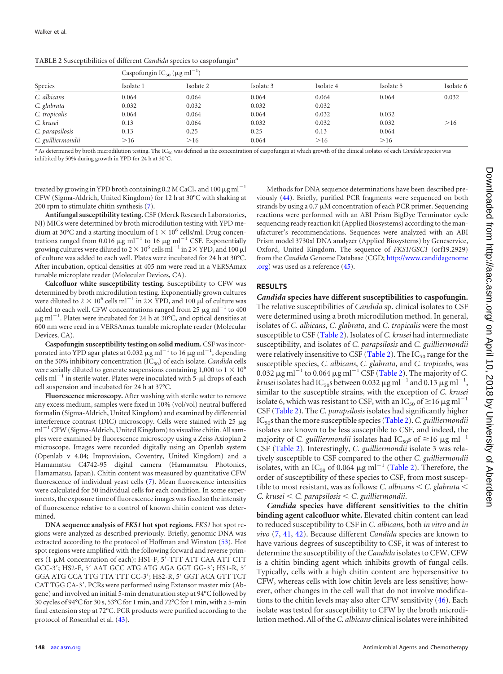<span id="page-2-0"></span>

| TABLE 2 Susceptibilities of different Candida species to caspofungin <sup>a</sup> |  |  |
|-----------------------------------------------------------------------------------|--|--|
|                                                                                   |  |  |

| Species           |           | Caspofungin $IC_{50}$ ( $\mu$ g ml <sup>-1</sup> ) |           |           |           |           |  |  |
|-------------------|-----------|----------------------------------------------------|-----------|-----------|-----------|-----------|--|--|
|                   | Isolate 1 | Isolate 2                                          | Isolate 3 | Isolate 4 | Isolate 5 | Isolate 6 |  |  |
| C. albicans       | 0.064     | 0.064                                              | 0.064     | 0.064     | 0.064     | 0.032     |  |  |
| C. glabrata       | 0.032     | 0.032                                              | 0.032     | 0.032     |           |           |  |  |
| C. tropicalis     | 0.064     | 0.064                                              | 0.064     | 0.032     | 0.032     |           |  |  |
| C. krusei         | 0.13      | 0.064                                              | 0.032     | 0.032     | 0.032     | >16       |  |  |
| C. parapsilosis   | 0.13      | 0.25                                               | 0.25      | 0.13      | 0.064     |           |  |  |
| C. guilliermondii | >16       | >16                                                | 0.064     | >16       | >16       |           |  |  |

<sup>a</sup> As determined by broth microdilution testing. The IC<sub>50</sub> was defined as the concentration of caspofungin at which growth of the clinical isolates of each *Candida* species was inhibited by 50% during growth in YPD for 24 h at 30°C.

treated by growing in YPD broth containing 0.2 M CaCl<sub>2</sub> and 100  $\mu \mathrm{g\,ml^{-1}}$ CFW (Sigma-Aldrich, United Kingdom) for 12 h at 30°C with shaking at 200 rpm to stimulate chitin synthesis [\(7\)](#page-7-4).

**Antifungal susceptibility testing.**CSF (Merck Research Laboratories, NJ) MICs were determined by broth microdilution testing with YPD medium at 30°C and a starting inoculum of 1  $\times$  10<sup>6</sup> cells/ml. Drug concentrations ranged from 0.016  $\mu$ g ml<sup>-1</sup> to 16  $\mu$ g ml<sup>-1</sup> CSF. Exponentially growing cultures were diluted to  $2 \times 10^6$  cells ml<sup>-1</sup> in  $2 \times$  YPD, and 100  $\mu$ l of culture was added to each well. Plates were incubated for 24 h at 30°C. After incubation, optical densities at 405 nm were read in a VERSAmax tunable microplate reader (Molecular Devices, CA).

**Calcofluor white susceptibility testing.** Susceptibility to CFW was determined by broth microdilution testing. Exponentially grown cultures were diluted to 2  $\times$  10<sup>6</sup> cells ml<sup>-1</sup> in 2 $\times$  YPD, and 100  $\mu$ l of culture was added to each well. CFW concentrations ranged from 25  $\mu$ g ml $^{-1}$  to 400  $\mu$ g ml<sup>-1</sup>. Plates were incubated for 24 h at 30°C, and optical densities at 600 nm were read in a VERSAmax tunable microplate reader (Molecular Devices, CA).

**Caspofungin susceptibility testing on solid medium.** CSF was incorporated into YPD agar plates at 0.032  $\mu$ g ml<sup>-1</sup> to 16  $\mu$ g ml<sup>-1</sup>, depending on the 50% inhibitory concentration (IC<sub>50</sub>) of each isolate. *Candida* cells were serially diluted to generate suspensions containing 1,000 to  $1 \times 10^6$ cells  $ml^{-1}$  in sterile water. Plates were inoculated with 5- $\mu$ l drops of each cell suspension and incubated for 24 h at 37°C.

**Fluorescence microscopy.** After washing with sterile water to remove any excess medium, samples were fixed in 10% (vol/vol) neutral buffered formalin (Sigma-Aldrich, United Kingdom) and examined by differential interference contrast (DIC) microscopy. Cells were stained with 25  $\mu$ g  $ml^{-1}$  CFW (Sigma-Aldrich, United Kingdom) to visualize chitin. All samples were examined by fluorescence microscopy using a Zeiss Axioplan 2 microscope. Images were recorded digitally using an Openlab system (Openlab v 4.04; Improvision, Coventry, United Kingdom) and a Hamamatsu C4742-95 digital camera (Hamamatsu Photonics, Hamamatsu, Japan). Chitin content was measured by quantitative CFW fluorescence of individual yeast cells [\(7\)](#page-7-4). Mean fluorescence intensities were calculated for 50 individual cells for each condition. In some experiments, the exposure time of fluorescence images was fixed so the intensity of fluorescence relative to a control of known chitin content was determined.

**DNA sequence analysis of** *FKS1* **hot spot regions.** *FKS1* hot spot regions were analyzed as described previously. Briefly, genomic DNA was extracted according to the protocol of Hoffman and Winston [\(53\)](#page-8-21). Hot spot regions were amplified with the following forward and reverse primers (1 µM concentration of each): HS1-F, 5'-TTT ATT CAA ATT CTT GCC-3'; HS2-F, 5' AAT GCC ATG ATG AGA GGT GG-3'; HS1-R, 5' GGA ATG CCA TTG TTA TTT CC-3'; HS2-R, 5' GGT ACA GTT TCT CAT TGG CA-3'. PCRs were performed using Extensor master mix (Abgene) and involved an initial 5-min denaturation step at 94°C followed by 30 cycles of 94°C for 30 s, 53°C for 1 min, and 72°C for 1 min, with a 5-min final extension step at 72°C. PCR products were purified according to the protocol of Rosenthal et al. [\(43\)](#page-8-22).

Methods for DNA sequence determinations have been described previously [\(44\)](#page-8-23). Briefly, purified PCR fragments were sequenced on both strands by using a 0.7  $\mu$ M concentration of each PCR primer. Sequencing reactions were performed with an ABI Prism BigDye Terminator cycle sequencing ready reaction kit (Applied Biosystems) according to the manufacturer's recommendations. Sequences were analyzed with an ABI Prism model 3730xl DNA analyzer (Applied Biosystems) by Geneservice, Oxford, United Kingdom. The sequence of *FKS1*/*GSC1* (orf19.2929) from the *Candida* Genome Database (CGD; [http://www.candidagenome](http://www.candidagenome.org) [.org\)](http://www.candidagenome.org) was used as a reference [\(45\)](#page-8-24).

# **RESULTS**

*Candida* **species have different susceptibilities to caspofungin.** The relative susceptibilities of *Candida* sp. clinical isolates to CSF were determined using a broth microdilution method. In general, isolates of *C. albicans*, *C. glabrata*, and *C. tropicalis* were the most susceptible to CSF [\(Table 2\)](#page-2-0). Isolates of *C. krusei* had intermediate susceptibility, and isolates of *C. parapsilosis* and *C. guilliermondii* were relatively insensitive to CSF [\(Table 2\)](#page-2-0). The  $IC_{50}$  range for the susceptible species, *C. albicans*, *C. glabrata*, and *C. tropicalis*, was  $0.032 \mu$ g ml<sup> $-1$ </sup> to  $0.064 \mu$ g ml<sup> $-1$ </sup> CSF [\(Table 2\)](#page-2-0). The majority of *C*. *krusei* isolates had IC<sub>50</sub>s between 0.032  $\mu$ g ml<sup>-1</sup> and 0.13  $\mu$ g ml<sup>-1</sup>, similar to the susceptible strains, with the exception of *C. krusei* isolate 6, which was resistant to CSF, with an IC<sub>50</sub> of  $\geq$ 16  $\mu$ g ml<sup>-1</sup> CSF [\(Table 2\)](#page-2-0). The *C. parapsilosis* isolates had significantly higher IC50s than the more susceptible species [\(Table 2\)](#page-2-0).*C. guilliermondii* isolates are known to be less susceptible to CSF, and indeed, the majority of *C. guilliermondii* isolates had  $IC_{50}$ s of  $\geq$ 16  $\mu$ g ml<sup>-1</sup> CSF [\(Table 2\)](#page-2-0). Interestingly, *C. guilliermondii* isolate 3 was relatively susceptible to CSF compared to the other *C. guilliermondii* isolates, with an IC<sub>50</sub> of 0.064  $\mu$ g ml<sup>-1</sup> [\(Table 2\)](#page-2-0). Therefore, the order of susceptibility of these species to CSF, from most susceptible to most resistant, was as follows: *C. albicans C. glabrata C. krusei C. parapsilosis C. guilliermondii*.

*Candida* **species have different sensitivities to the chitin binding agent calcofluor white.** Elevated chitin content can lead to reduced susceptibility to CSF in *C. albicans*, both *in vitro* and *in vivo* [\(7,](#page-7-4) [41,](#page-8-19) [42\)](#page-8-20). Because different *Candida* species are known to have various degrees of susceptibility to CSF, it was of interest to determine the susceptibility of the *Candida* isolates to CFW. CFW is a chitin binding agent which inhibits growth of fungal cells. Typically, cells with a high chitin content are hypersensitive to CFW, whereas cells with low chitin levels are less sensitive; however, other changes in the cell wall that do not involve modifications to the chitin levels may also alter CFW sensitivity [\(46\)](#page-8-25). Each isolate was tested for susceptibility to CFW by the broth microdilution method. All of the*C. albicans* clinical isolates were inhibited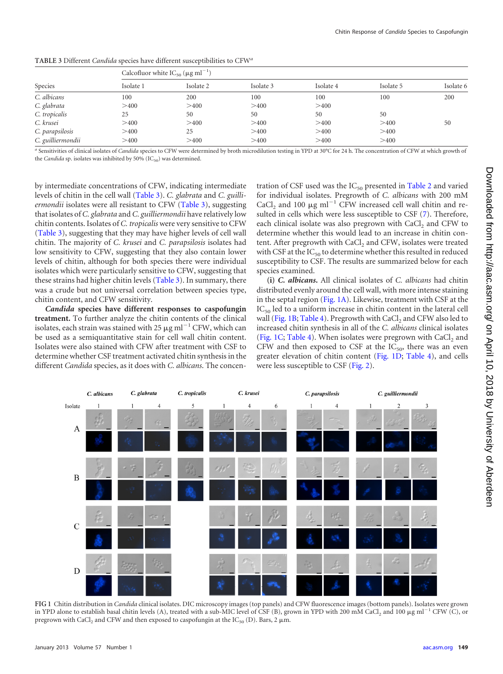| Species           |           | Calcofluor white $IC_{50}$ ( $\mu$ g ml <sup>-1</sup> ) |           |           |           |           |  |  |  |
|-------------------|-----------|---------------------------------------------------------|-----------|-----------|-----------|-----------|--|--|--|
|                   | Isolate 1 | Isolate 2                                               | Isolate 3 | Isolate 4 | Isolate 5 | Isolate 6 |  |  |  |
| C. albicans       | 100       | 200                                                     | 100       | 100       | 100       | 200       |  |  |  |
| C. glabrata       | >400      | >400                                                    | >400      | >400      |           |           |  |  |  |
| C. tropicalis     | 25        | 50                                                      | 50        | 50        | 50        |           |  |  |  |
| C. krusei         | >400      | >400                                                    | >400      | >400      | >400      | 50        |  |  |  |
| C. parapsilosis   | >400      | 25                                                      | >400      | >400      | >400      |           |  |  |  |
| C. guilliermondii | >400      | >400                                                    | >400      | >400      | >400      |           |  |  |  |

<span id="page-3-0"></span>**TABLE 3** Different *Candida* species have different susceptibilities to CFW*<sup>a</sup>*

*<sup>a</sup>* Sensitivities of clinical isolates of *Candida* species to CFW were determined by broth microdilution testing in YPD at 30°C for 24 h. The concentration of CFW at which growth of the *Candida* sp. isolates was inhibited by 50% (IC<sub>50</sub>) was determined.

by intermediate concentrations of CFW, indicating intermediate levels of chitin in the cell wall [\(Table 3\)](#page-3-0). *C. glabrata* and *C. guilliermondii* isolates were all resistant to CFW [\(Table 3\)](#page-3-0), suggesting that isolates of *C. glabrata* and *C. guilliermondii* have relatively low chitin contents. Isolates of *C. tropicalis* were very sensitive to CFW [\(Table 3\)](#page-3-0), suggesting that they may have higher levels of cell wall chitin. The majority of *C. krusei* and *C. parapsilosis* isolates had low sensitivity to CFW, suggesting that they also contain lower levels of chitin, although for both species there were individual isolates which were particularly sensitive to CFW, suggesting that these strains had higher chitin levels [\(Table 3\)](#page-3-0). In summary, there was a crude but not universal correlation between species type, chitin content, and CFW sensitivity.

*Candida* **species have different responses to caspofungin treatment.** To further analyze the chitin contents of the clinical isolates, each strain was stained with 25  $\mu$ g ml<sup>-1</sup> CFW, which can be used as a semiquantitative stain for cell wall chitin content. Isolates were also stained with CFW after treatment with CSF to determine whether CSF treatment activated chitin synthesis in the different *Candida* species, as it does with *C. albicans*. The concentration of CSF used was the  $IC_{50}$  presented in [Table 2](#page-2-0) and varied for individual isolates. Pregrowth of *C. albicans* with 200 mM  $CaCl<sub>2</sub>$  and 100  $\mu$ g ml<sup>-1</sup> CFW increased cell wall chitin and resulted in cells which were less susceptible to CSF [\(7\)](#page-7-4). Therefore, each clinical isolate was also pregrown with CaCl<sub>2</sub> and CFW to determine whether this would lead to an increase in chitin content. After pregrowth with CaCl<sub>2</sub> and CFW, isolates were treated with CSF at the  $IC_{50}$  to determine whether this resulted in reduced susceptibility to CSF. The results are summarized below for each species examined.

**(i)** *C. albicans***.** All clinical isolates of *C. albicans* had chitin distributed evenly around the cell wall, with more intense staining in the septal region [\(Fig. 1A\)](#page-3-1). Likewise, treatment with CSF at the  $IC_{50}$  led to a uniform increase in chitin content in the lateral cell wall [\(Fig. 1B;](#page-3-1) [Table 4\)](#page-4-0). Pregrowth with CaCl<sub>2</sub> and CFW also led to increased chitin synthesis in all of the *C. albicans* clinical isolates [\(Fig. 1C;](#page-3-1) [Table 4\)](#page-4-0). When isolates were pregrown with  $CaCl<sub>2</sub>$  and CFW and then exposed to CSF at the  $IC_{50}$ , there was an even greater elevation of chitin content [\(Fig. 1D;](#page-3-1) [Table 4\)](#page-4-0), and cells were less susceptible to CSF [\(Fig. 2\)](#page-5-0).



<span id="page-3-1"></span>**FIG 1** Chitin distribution in *Candida* clinical isolates. DIC microscopy images (top panels) and CFW fluorescence images (bottom panels). Isolates were grown in YPD alone to establish basal chitin levels (A), treated with a sub-MIC level of CSF (B), grown in YPD with 200 mM CaCl<sub>2</sub> and 100  $\mu$ g ml<sup>-1</sup> CFW (C), or pregrown with CaCl<sub>2</sub> and CFW and then exposed to caspofungin at the  $\text{IC}_{50}$  (D). Bars, 2  $\mu$ m.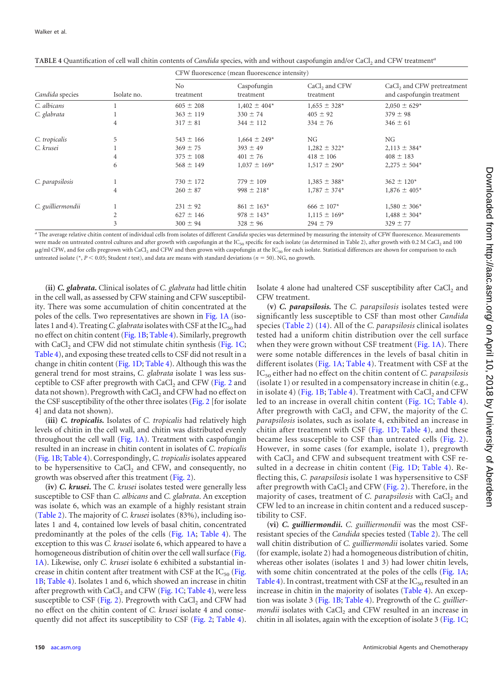|                   |                | CFW fluorescence (mean fluorescence intensity) |                              |                                        |                                                                     |  |  |
|-------------------|----------------|------------------------------------------------|------------------------------|----------------------------------------|---------------------------------------------------------------------|--|--|
| Candida species   | Isolate no.    | No<br>treatment                                | Caspofungin<br>treatment     | CaCl <sub>2</sub> and CFW<br>treatment | CaCl <sub>2</sub> and CFW pretreatment<br>and caspofungin treatment |  |  |
| C. albicans       |                | $605 \pm 208$                                  | $1,402 \pm 404$ <sup>*</sup> | $1,655 \pm 328$ *                      | $2,050 \pm 629*$                                                    |  |  |
| C. glabrata       |                | $363 \pm 119$                                  | $330 \pm 74$                 | $405 \pm 92$                           | $379 \pm 98$                                                        |  |  |
|                   | 4              | $317 \pm 81$                                   | $344 \pm 112$                | $334 \pm 76$                           | $346 \pm 61$                                                        |  |  |
| C. tropicalis     | 5              | $543 \pm 166$                                  | $1,664 \pm 249*$             | NG.                                    | NG                                                                  |  |  |
| C. krusei         |                | $369 \pm 75$                                   | $393 \pm 49$                 | $1,282 \pm 322$ *                      | $2,113 \pm 384$ <sup>*</sup>                                        |  |  |
|                   | 4              | $375 \pm 108$                                  | $401 \pm 76$                 | $418 \pm 106$                          | $408 \pm 183$                                                       |  |  |
|                   | 6              | $568 \pm 149$                                  | $1,037 \pm 169*$             | $1,517 \pm 290*$                       | $2,275 \pm 504*$                                                    |  |  |
| C. parapsilosis   |                | $730 \pm 172$                                  | $779 \pm 109$                | $1,385 \pm 388$ <sup>*</sup>           | $362 \pm 120^*$                                                     |  |  |
|                   | $\overline{4}$ | $260 \pm 87$                                   | $998 \pm 218$ <sup>*</sup>   | $1,787 \pm 374*$                       | $1,876 \pm 405*$                                                    |  |  |
| C. guilliermondii |                | $231 \pm 92$                                   | $861 \pm 163*$               | $666 \pm 107*$                         | $1,580 \pm 306*$                                                    |  |  |
|                   | 2              | $627 \pm 146$                                  | $978 \pm 143*$               | $1,115 \pm 169*$                       | $1,488 \pm 304*$                                                    |  |  |
|                   | 3              | $300 \pm 94$                                   | $328 \pm 96$                 | $294 \pm 79$                           | $329 \pm 77$                                                        |  |  |

<span id="page-4-0"></span>

| TABLE 4 Quantification of cell wall chitin contents of Candida species, with and without caspofungin and/or CaCl <sub>2</sub> and CFW treatment <sup>6</sup> |
|--------------------------------------------------------------------------------------------------------------------------------------------------------------|
|--------------------------------------------------------------------------------------------------------------------------------------------------------------|

*<sup>a</sup>* The average relative chitin content of individual cells from isolates of different *Candida* species was determined by measuring the intensity of CFW fluorescence. Measurements were made on untreated control cultures and after growth with caspofungin at the IC<sub>50</sub> specific for each isolate (as determined in Table 2), after growth with 0.2 M CaCl<sub>2</sub> and 100  $\mu$ g/ml CFW, and for cells pregrown with CaCl<sub>2</sub> and CFW and then grown with caspofungin at the IC<sub>50</sub> for each isolate. Statistical differences are shown for comparison to each untreated isolate (\*,  $P < 0.05$ ; Student *t* test), and data are means with standard deviations ( $n = 50$ ). NG, no growth.

**(ii)** *C. glabrata***.** Clinical isolates of *C. glabrata* had little chitin in the cell wall, as assessed by CFW staining and CFW susceptibility. There was some accumulation of chitin concentrated at the poles of the cells. Two representatives are shown in [Fig. 1A](#page-3-1) (isolates 1 and 4). Treating *C. glabrata* isolates with CSF at the IC<sub>50</sub> had no effect on chitin content [\(Fig. 1B;](#page-3-1) [Table 4\)](#page-4-0). Similarly, pregrowth with CaCl<sub>2</sub> and CFW did not stimulate chitin synthesis [\(Fig. 1C;](#page-3-1) [Table 4\)](#page-4-0), and exposing these treated cells to CSF did not result in a change in chitin content [\(Fig. 1D;](#page-3-1) [Table 4\)](#page-4-0). Although this was the general trend for most strains, *C. glabrata* isolate 1 was less susceptible to CSF after pregrowth with  $CaCl<sub>2</sub>$  and CFW [\(Fig. 2](#page-5-0) and data not shown). Pregrowth with CaCl<sub>2</sub> and CFW had no effect on the CSF susceptibility of the other three isolates [\(Fig. 2](#page-5-0) [for isolate 4] and data not shown).

**(iii)** *C. tropicalis***.** Isolates of *C. tropicalis* had relatively high levels of chitin in the cell wall, and chitin was distributed evenly throughout the cell wall [\(Fig. 1A\)](#page-3-1). Treatment with caspofungin resulted in an increase in chitin content in isolates of *C. tropicalis* [\(Fig. 1B;](#page-3-1) [Table 4\)](#page-4-0). Correspondingly, *C. tropicalis* isolates appeared to be hypersensitive to  $CaCl<sub>2</sub>$  and CFW, and consequently, no growth was observed after this treatment [\(Fig. 2\)](#page-5-0).

**(iv)** *C. krusei***.** The *C. krusei* isolates tested were generally less susceptible to CSF than *C. albicans* and *C. glabrata*. An exception was isolate 6, which was an example of a highly resistant strain [\(Table 2\)](#page-2-0). The majority of *C. krusei* isolates (83%), including isolates 1 and 4, contained low levels of basal chitin, concentrated predominantly at the poles of the cells [\(Fig. 1A;](#page-3-1) [Table 4\)](#page-4-0). The exception to this was *C. krusei* isolate 6, which appeared to have a homogeneous distribution of chitin over the cell wall surface [\(Fig.](#page-3-1) [1A\)](#page-3-1). Likewise, only *C. krusei* isolate 6 exhibited a substantial increase in chitin content after treatment with CSF at the  $IC_{50}$  [\(Fig.](#page-3-1) [1B;](#page-3-1) [Table 4\)](#page-4-0). Isolates 1 and 6, which showed an increase in chitin after pregrowth with CaCl<sub>2</sub> and CFW [\(Fig. 1C;](#page-3-1) [Table 4\)](#page-4-0), were less susceptible to CSF [\(Fig. 2\)](#page-5-0). Pregrowth with  $CaCl<sub>2</sub>$  and CFW had no effect on the chitin content of *C. krusei* isolate 4 and consequently did not affect its susceptibility to CSF [\(Fig. 2;](#page-5-0) [Table 4\)](#page-4-0). Isolate 4 alone had unaltered CSF susceptibility after  $CaCl<sub>2</sub>$  and CFW treatment.

**(v)** *C. parapsilosis***.** The *C. parapsilosis* isolates tested were significantly less susceptible to CSF than most other *Candida* species [\(Table 2\)](#page-2-0) [\(14\)](#page-7-7). All of the *C. parapsilosis* clinical isolates tested had a uniform chitin distribution over the cell surface when they were grown without CSF treatment [\(Fig. 1A\)](#page-3-1). There were some notable differences in the levels of basal chitin in different isolates [\(Fig. 1A;](#page-3-1) [Table 4\)](#page-4-0). Treatment with CSF at the IC50 either had no effect on the chitin content of *C. parapsilosis* (isolate 1) or resulted in a compensatory increase in chitin (e.g., in isolate 4) [\(Fig. 1B;](#page-3-1) [Table 4\)](#page-4-0). Treatment with  $CaCl<sub>2</sub>$  and CFW led to an increase in overall chitin content [\(Fig. 1C;](#page-3-1) [Table 4\)](#page-4-0). After pregrowth with CaCl<sub>2</sub> and CFW, the majority of the *C*. *parapsilosis* isolates, such as isolate 4, exhibited an increase in chitin after treatment with CSF [\(Fig. 1D;](#page-3-1) [Table 4\)](#page-4-0), and these became less susceptible to CSF than untreated cells [\(Fig. 2\)](#page-5-0). However, in some cases (for example, isolate 1), pregrowth with  $CaCl<sub>2</sub>$  and CFW and subsequent treatment with CSF resulted in a decrease in chitin content [\(Fig. 1D;](#page-3-1) [Table 4\)](#page-4-0). Reflecting this, *C. parapsilosis* isolate 1 was hypersensitive to CSF after pregrowth with  $CaCl<sub>2</sub>$  and CFW [\(Fig. 2\)](#page-5-0). Therefore, in the majority of cases, treatment of *C. parapsilosis* with CaCl<sub>2</sub> and CFW led to an increase in chitin content and a reduced susceptibility to CSF.

**(vi)** *C. guilliermondii***.** *C. guilliermondii* was the most CSFresistant species of the *Candida* species tested [\(Table 2\)](#page-2-0). The cell wall chitin distribution of *C. guilliermondii* isolates varied. Some (for example, isolate 2) had a homogeneous distribution of chitin, whereas other isolates (isolates 1 and 3) had lower chitin levels, with some chitin concentrated at the poles of the cells [\(Fig. 1A;](#page-3-1) [Table 4\)](#page-4-0). In contrast, treatment with CSF at the  $IC_{50}$  resulted in an increase in chitin in the majority of isolates [\(Table 4\)](#page-4-0). An exception was isolate 3 [\(Fig. 1B;](#page-3-1) [Table 4\)](#page-4-0). Pregrowth of the *C. guilliermondii* isolates with CaCl<sub>2</sub> and CFW resulted in an increase in chitin in all isolates, again with the exception of isolate 3 [\(Fig. 1C;](#page-3-1)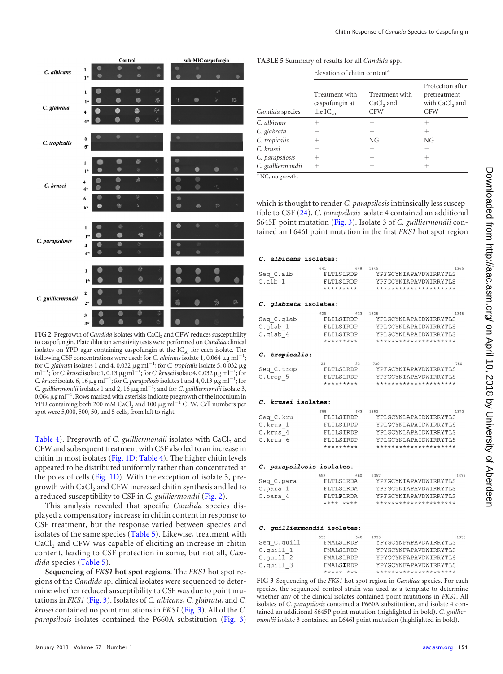

<span id="page-5-0"></span>FIG 2 Pregrowth of *Candida* isolates with CaCl<sub>2</sub> and CFW reduces susceptibility to caspofungin. Plate dilution sensitivity tests were performed on*Candida* clinical isolates on YPD agar containing caspofungin at the  $IC_{50}$  for each isolate. The following CSF concentrations were used: for *C. albicans* isolate 1, 0.064  $\mu$ g ml<sup>-1</sup>; for *C. glabrata* isolates 1 and 4, 0.032  $\mu$ g ml<sup>-1</sup>; for *C. tropicalis* isolate 5, 0.032  $\mu$ g ml<sup>-1</sup>; for *C. krusei* isolate 1, 0.13  $\mu$ g ml<sup>-1</sup>; for *C. krusei* isolate 4, 0.032  $\mu$ g ml<sup>-1</sup>; for *C. krusei* isolate 6, 16  $\mu$ g ml<sup>-1</sup>; for *C. parapsilosis* isolates 1 and 4, 0.13  $\mu$ g ml<sup>-1</sup>; for *C. guilliermondii* isolates 1 and 2, 16  $\mu$ g ml<sup>-1</sup>; and for *C. guilliermondii* isolate 3,  $0.064 \,\mathrm{\upmu}\mathrm{g\,ml}^{-1}$ . Rows marked with asterisks indicate pregrowth of the inoculum in YPD containing both 200 mM CaCl<sub>2</sub> and 100  $\mu$ g ml<sup>-1</sup> CFW. Cell numbers per spot were 5,000, 500, 50, and 5 cells, from left to right.

[Table 4\)](#page-4-0). Pregrowth of *C. guilliermondii* isolates with CaCl<sub>2</sub> and CFW and subsequent treatment with CSF also led to an increase in chitin in most isolates [\(Fig. 1D;](#page-3-1) [Table 4\)](#page-4-0). The higher chitin levels appeared to be distributed uniformly rather than concentrated at the poles of cells [\(Fig. 1D\)](#page-3-1). With the exception of isolate 3, pregrowth with  $CaCl<sub>2</sub>$  and CFW increased chitin synthesis and led to a reduced susceptibility to CSF in *C. guilliermondii* [\(Fig. 2\)](#page-5-0).

This analysis revealed that specific *Candida* species displayed a compensatory increase in chitin content in response to CSF treatment, but the response varied between species and isolates of the same species [\(Table 5\)](#page-5-1). Likewise, treatment with  $CaCl<sub>2</sub>$  and CFW was capable of eliciting an increase in chitin content, leading to CSF protection in some, but not all, *Candida* species [\(Table 5\)](#page-5-1).

**Sequencing of** *FKS1* **hot spot regions.** The *FKS1* hot spot regions of the *Candida* sp. clinical isolates were sequenced to determine whether reduced susceptibility to CSF was due to point mutations in *FKS1* [\(Fig. 3\)](#page-5-2). Isolates of *C. albicans*, *C. glabrata*, and *C. krusei* contained no point mutations in *FKS1* [\(Fig. 3\)](#page-5-2). All of the *C. parapsilosis* isolates contained the P660A substitution [\(Fig. 3\)](#page-5-2)

### <span id="page-5-1"></span>**TABLE 5** Summary of results for all *Candida* spp.

|                         |                                                   | Elevation of chitin content <sup>a</sup>              |                                                                              |  |  |  |
|-------------------------|---------------------------------------------------|-------------------------------------------------------|------------------------------------------------------------------------------|--|--|--|
| Candida species         | Treatment with<br>caspofungin at<br>the $IC_{50}$ | Treatment with<br>CaCl <sub>2</sub> and<br><b>CFW</b> | Protection after<br>pretreatment<br>with CaCl <sub>2</sub> and<br><b>CFW</b> |  |  |  |
| C. albicans             |                                                   | $^+$                                                  | $^+$                                                                         |  |  |  |
| C. glabrata             |                                                   |                                                       | $^{+}$                                                                       |  |  |  |
| C. tropicalis           |                                                   | NG                                                    | NG                                                                           |  |  |  |
| C. krusei               |                                                   |                                                       |                                                                              |  |  |  |
| C. parapsilosis         |                                                   | $^{+}$                                                | $^+$                                                                         |  |  |  |
| C. guilliermondii       | $^+$                                              | $^+$                                                  |                                                                              |  |  |  |
| $\alpha$ NG, no growth. |                                                   |                                                       |                                                                              |  |  |  |

which is thought to render *C. parapsilosis* intrinsically less susceptible to CSF [\(24\)](#page-8-5). *C. parapsilosis* isolate 4 contained an additional S645P point mutation [\(Fig. 3\)](#page-5-2). Isolate 3 of *C. guilliermondii* contained an L646I point mutation in the first *FKS1* hot spot region

### C. albicans isolates:

| C. glabrata isolates:<br>1328<br>625<br>633<br>1348<br>YPLGCYNLAPAIDWIRRYTLS<br>FLILSIRDP<br>FLILSIRDP<br>YPLGCYNLAPAIDWIRRYTLS<br>FLILSIRDP<br>YPLGCYNLAPAIDWIRRYTLS<br>*********<br>*********************<br>730<br>25<br>750<br>33<br>YPFGCYNIAPAVDWIRRYTLS<br>FLTLSLRDP<br>FLTLSLRDP<br>YPFGCYNIAPAVDWIRRYTLS<br>*********************<br>*********<br>C. krusei isolates:<br>663<br>1352<br>1372<br>655<br>FLILSIRDP<br>YPLGCYNLAPAIDWIRRYTLS<br>FLILSIRDP<br>YPLGCYNLAPAIDWIRRYTLS<br>FLILSIRDP<br>YPLGCYNLAPAIDWIRRYTLS<br>FLILSIRDP<br>YPLGCYNLAPAIDWIRRYTLS<br>*********<br>*********************<br>C. parapsilosis isolates:<br>652 660 1357 | Seq C.alb<br>C.alb 1                          | 641<br>649<br>FLTLSLRDP<br>FLTLSLRDP<br>********* | 1345<br>1365<br>YPFGCYNIAPAVDWIRRYTLS<br>YPFGCYNIAPAVDWIRRYTLS<br>********************* |
|---------------------------------------------------------------------------------------------------------------------------------------------------------------------------------------------------------------------------------------------------------------------------------------------------------------------------------------------------------------------------------------------------------------------------------------------------------------------------------------------------------------------------------------------------------------------------------------------------------------------------------------------------------|-----------------------------------------------|---------------------------------------------------|-----------------------------------------------------------------------------------------|
|                                                                                                                                                                                                                                                                                                                                                                                                                                                                                                                                                                                                                                                         |                                               |                                                   |                                                                                         |
|                                                                                                                                                                                                                                                                                                                                                                                                                                                                                                                                                                                                                                                         | Seq C.glab<br>C.glab 1<br>C.glab 4            |                                                   |                                                                                         |
|                                                                                                                                                                                                                                                                                                                                                                                                                                                                                                                                                                                                                                                         | C. tropicalis:                                |                                                   |                                                                                         |
|                                                                                                                                                                                                                                                                                                                                                                                                                                                                                                                                                                                                                                                         | Seq C.trop<br>C.trop 5                        |                                                   |                                                                                         |
|                                                                                                                                                                                                                                                                                                                                                                                                                                                                                                                                                                                                                                                         |                                               |                                                   |                                                                                         |
|                                                                                                                                                                                                                                                                                                                                                                                                                                                                                                                                                                                                                                                         | Seq C.kru<br>C.krus 1<br>C.krus 4<br>C.krus 6 |                                                   |                                                                                         |
|                                                                                                                                                                                                                                                                                                                                                                                                                                                                                                                                                                                                                                                         |                                               |                                                   | 1377                                                                                    |

#### Seq C.para FLTLSLRDA YPFGCYNIAPAVDWIRRYTLS C.para 1 **FLTLSLRDA** YPFGCYNIAPAVDWIRRYTLS C.para\_4  ${\tt FLTLPLRDA}$ YPFGCYNIAPAVDWIRRYTLS \*\*\*\* \*\*\* \*\*\*\*\*\*\*\*\*\*\*\*\*\*\*\*\*\*\*\*

### C. guilliermondii isolates:

|                | 632       | 640 | 1335                  | 1355 |
|----------------|-----------|-----|-----------------------|------|
| Seq C.quill    | FMALSLRDP |     | YPYGCYNFAPAVDWIRRYTLS |      |
| C.quill 1      | FMALSLRDP |     | YPYGCYNFAPAVDWIRRYTLS |      |
| $C.$ guill $2$ | FMALSLRDP |     | YPYGCYNFAPAVDWIRRYTLS |      |
| $C.$ quill $3$ | FMALSIRDP |     | YPYGCYNFAPAVDWIRRYTLS |      |
|                | ***** *** |     | ********************* |      |
|                |           |     |                       |      |

<span id="page-5-2"></span>**FIG 3** Sequencing of the *FKS1* hot spot region in *Candida* species. For each species, the sequenced control strain was used as a template to determine whether any of the clinical isolates contained point mutations in *FKS1*. All isolates of *C. parapsilosis* contained a P660A substitution, and isolate 4 contained an additional S645P point mutation (highlighted in bold). *C. guilliermondii* isolate 3 contained an L646I point mutation (highlighted in bold).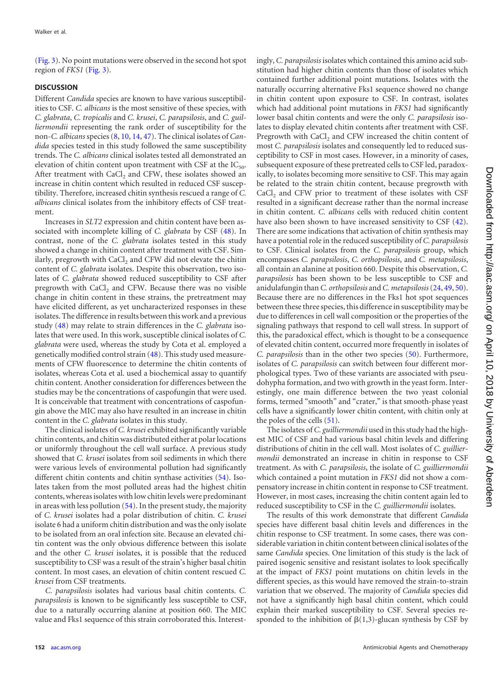[\(Fig. 3\)](#page-5-2). No point mutations were observed in the second hot spot region of *FKS1* [\(Fig. 3\)](#page-5-2).

# **DISCUSSION**

Different *Candida* species are known to have various susceptibilities to CSF. *C. albicans* is the most sensitive of these species, with *C. glabrata*, *C. tropicalis* and *C. krusei*, *C. parapsilosis*, and *C. guilliermondii* representing the rank order of susceptibility for the non-*C. albicans*species [\(8,](#page-7-5) [10,](#page-7-11) [14,](#page-7-7) [47\)](#page-8-26). The clinical isolates of *Candida* species tested in this study followed the same susceptibility trends. The *C. albicans* clinical isolates tested all demonstrated an elevation of chitin content upon treatment with CSF at the  $IC_{50}$ . After treatment with  $CaCl<sub>2</sub>$  and CFW, these isolates showed an increase in chitin content which resulted in reduced CSF susceptibility. Therefore, increased chitin synthesis rescued a range of *C. albicans* clinical isolates from the inhibitory effects of CSF treatment.

Increases in *SLT2* expression and chitin content have been associated with incomplete killing of *C. glabrata* by CSF [\(48\)](#page-8-27). In contrast, none of the *C. glabrata* isolates tested in this study showed a change in chitin content after treatment with CSF. Similarly, pregrowth with CaCl<sub>2</sub> and CFW did not elevate the chitin content of *C. glabrata* isolates. Despite this observation, two isolates of *C. glabrata* showed reduced susceptibility to CSF after pregrowth with  $CaCl<sub>2</sub>$  and CFW. Because there was no visible change in chitin content in these strains, the pretreatment may have elicited different, as yet uncharacterized responses in these isolates. The difference in results between this work and a previous study [\(48\)](#page-8-27) may relate to strain differences in the *C. glabrata* isolates that were used. In this work, susceptible clinical isolates of *C. glabrata* were used, whereas the study by Cota et al. employed a genetically modified control strain [\(48\)](#page-8-27). This study used measurements of CFW fluorescence to determine the chitin contents of isolates, whereas Cota et al. used a biochemical assay to quantify chitin content. Another consideration for differences between the studies may be the concentrations of caspofungin that were used. It is conceivable that treatment with concentrations of caspofungin above the MIC may also have resulted in an increase in chitin content in the *C. glabrata* isolates in this study.

The clinical isolates of *C. krusei* exhibited significantly variable chitin contents, and chitin was distributed either at polar locations or uniformly throughout the cell wall surface. A previous study showed that *C. krusei* isolates from soil sediments in which there were various levels of environmental pollution had significantly different chitin contents and chitin synthase activities [\(54\)](#page-8-28). Isolates taken from the most polluted areas had the highest chitin contents, whereas isolates with low chitin levels were predominant in areas with less pollution [\(54\)](#page-8-28). In the present study, the majority of *C. krusei* isolates had a polar distribution of chitin. *C. krusei* isolate 6 had a uniform chitin distribution and was the only isolate to be isolated from an oral infection site. Because an elevated chitin content was the only obvious difference between this isolate and the other *C. krusei* isolates, it is possible that the reduced susceptibility to CSF was a result of the strain's higher basal chitin content. In most cases, an elevation of chitin content rescued *C. krusei* from CSF treatments.

*C. parapsilosis* isolates had various basal chitin contents. *C. parapsilosis* is known to be significantly less susceptible to CSF, due to a naturally occurring alanine at position 660. The MIC value and Fks1 sequence of this strain corroborated this. Interest-

ingly, *C. parapsilosis* isolates which contained this amino acid substitution had higher chitin contents than those of isolates which contained further additional point mutations. Isolates with the naturally occurring alternative Fks1 sequence showed no change in chitin content upon exposure to CSF. In contrast, isolates which had additional point mutations in *FKS1* had significantly lower basal chitin contents and were the only *C. parapsilosis* isolates to display elevated chitin contents after treatment with CSF. Pregrowth with CaCl<sub>2</sub> and CFW increased the chitin content of most *C. parapsilosis* isolates and consequently led to reduced susceptibility to CSF in most cases. However, in a minority of cases, subsequent exposure of these pretreated cells to CSF led, paradoxically, to isolates becoming more sensitive to CSF. This may again be related to the strain chitin content, because pregrowth with CaCl<sub>2</sub> and CFW prior to treatment of these isolates with CSF resulted in a significant decrease rather than the normal increase in chitin content. *C. albicans* cells with reduced chitin content have also been shown to have increased sensitivity to CSF  $(42)$ . There are some indications that activation of chitin synthesis may have a potential role in the reduced susceptibility of *C. parapsilosis* to CSF. Clinical isolates from the *C. parapsilosis* group, which encompasses *C. parapsilosis*, *C. orthopsilosis*, and *C. metapsilosis*, all contain an alanine at position 660. Despite this observation, *C. parapsilosis* has been shown to be less susceptible to CSF and anidulafungin than *C. orthopsilosis* and *C. metapsilosis*[\(24,](#page-8-5) [49,](#page-8-29) [50\)](#page-8-30). Because there are no differences in the Fks1 hot spot sequences between these three species, this difference in susceptibility may be due to differences in cell wall composition or the properties of the signaling pathways that respond to cell wall stress. In support of this, the paradoxical effect, which is thought to be a consequence of elevated chitin content, occurred more frequently in isolates of *C. parapsilosis* than in the other two species [\(50\)](#page-8-30). Furthermore, isolates of *C. parapsilosis* can switch between four different morphological types. Two of these variants are associated with pseudohypha formation, and two with growth in the yeast form. Interestingly, one main difference between the two yeast colonial forms, termed "smooth" and "crater," is that smooth-phase yeast cells have a significantly lower chitin content, with chitin only at the poles of the cells [\(51\)](#page-8-31).

The isolates of *C. guilliermondii* used in this study had the highest MIC of CSF and had various basal chitin levels and differing distributions of chitin in the cell wall. Most isolates of *C. guilliermondii* demonstrated an increase in chitin in response to CSF treatment. As with *C. parapsilosis*, the isolate of *C. guilliermondii* which contained a point mutation in *FKS1* did not show a compensatory increase in chitin content in response to CSF treatment. However, in most cases, increasing the chitin content again led to reduced susceptibility to CSF in the *C. guilliermondii* isolates.

The results of this work demonstrate that different *Candida* species have different basal chitin levels and differences in the chitin response to CSF treatment. In some cases, there was considerable variation in chitin content between clinical isolates of the same *Candida* species. One limitation of this study is the lack of paired isogenic sensitive and resistant isolates to look specifically at the impact of *FKS1* point mutations on chitin levels in the different species, as this would have removed the strain-to-strain variation that we observed. The majority of *Candida* species did not have a significantly high basal chitin content, which could explain their marked susceptibility to CSF. Several species responded to the inhibition of  $\beta(1,3)$ -glucan synthesis by CSF by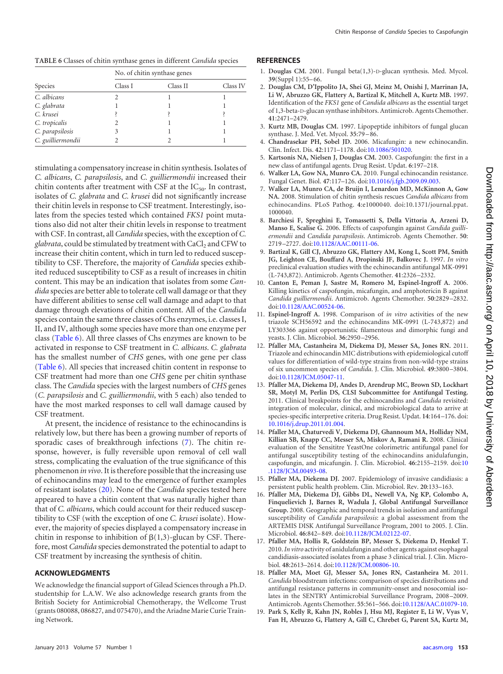|                   | No. of chitin synthase genes |          |          |  |  |
|-------------------|------------------------------|----------|----------|--|--|
| Species           | Class I                      | Class II | Class IV |  |  |
| C. albicans       |                              |          |          |  |  |
| C. glabrata       |                              |          |          |  |  |
| C. krusei         |                              |          |          |  |  |
| C. tropicalis     |                              |          |          |  |  |
| C. parapsilosis   | 3                            |          |          |  |  |
| C. guilliermondii |                              |          |          |  |  |

<span id="page-7-12"></span>**TABLE 6** Classes of chitin synthase genes in different *Candida* species

stimulating a compensatory increase in chitin synthesis. Isolates of *C. albicans*, *C. parapsilosis*, and *C. guilliermondii* increased their chitin contents after treatment with CSF at the  $IC_{50}$ . In contrast, isolates of *C. glabrata* and *C. krusei* did not significantly increase their chitin levels in response to CSF treatment. Interestingly, isolates from the species tested which contained *FKS1* point mutations also did not alter their chitin levels in response to treatment with CSF. In contrast, all *Candida* species, with the exception of *C.* glabrata, could be stimulated by treatment with CaCl<sub>2</sub> and CFW to increase their chitin content, which in turn led to reduced susceptibility to CSF. Therefore, the majority of *Candida* species exhibited reduced susceptibility to CSF as a result of increases in chitin content. This may be an indication that isolates from some *Candida* species are better able to tolerate cell wall damage or that they have different abilities to sense cell wall damage and adapt to that damage through elevations of chitin content. All of the *Candida* species contain the same three classes of Chs enzymes, i.e. classes I, II, and IV, although some species have more than one enzyme per class [\(Table 6\)](#page-7-12). All three classes of Chs enzymes are known to be activated in response to CSF treatment in *C. albicans*. *C. glabrata* has the smallest number of *CHS* genes, with one gene per class [\(Table 6\)](#page-7-12). All species that increased chitin content in response to CSF treatment had more than one *CHS* gene per chitin synthase class. The *Candida* species with the largest numbers of *CHS* genes (*C. parapsilosis* and *C. guilliermondii*, with 5 each) also tended to have the most marked responses to cell wall damage caused by CSF treatment.

At present, the incidence of resistance to the echinocandins is relatively low, but there has been a growing number of reports of sporadic cases of breakthrough infections [\(7\)](#page-7-4). The chitin response, however, is fully reversible upon removal of cell wall stress, complicating the evaluation of the true significance of this phenomenon *in vivo*. It is therefore possible that the increasing use of echinocandins may lead to the emergence of further examples of resistant isolates [\(20\)](#page-8-0). None of the *Candida* species tested here appeared to have a chitin content that was naturally higher than that of *C. albicans*, which could account for their reduced susceptibility to CSF (with the exception of one *C. krusei* isolate). However, the majority of species displayed a compensatory increase in chitin in response to inhibition of  $\beta(1,3)$ -glucan by CSF. Therefore, most *Candida* species demonstrated the potential to adapt to CSF treatment by increasing the synthesis of chitin.

# **ACKNOWLEDGMENTS**

We acknowledge the financial support of Gilead Sciences through a Ph.D. studentship for L.A.W. We also acknowledge research grants from the British Society for Antimicrobial Chemotherapy, the Wellcome Trust (grants 080088, 086827, and 075470), and the Ariadne Marie Curie Training Network.

### <span id="page-7-0"></span>**REFERENCES**

- 1. **Douglas CM.** 2001. Fungal beta(1,3)-D-glucan synthesis. Med. Mycol. **39**(Suppl 1):55– 66.
- <span id="page-7-2"></span>2. **Douglas CM, D'Ippolito JA, Shei GJ, Meinz M, Onishi J, Marrinan JA, Li W, Abruzzo GK, Flattery A, Bartizal K, Mitchell A, Kurtz MB.** 1997. Identification of the *FKS1* gene of *Candida albicans* as the essential target of 1,3-beta-D-glucan synthase inhibitors. Antimicrob. Agents Chemother. **41**:2471–2479.
- <span id="page-7-3"></span><span id="page-7-1"></span>3. **Kurtz MB, Douglas CM.** 1997. Lipopeptide inhibitors of fungal glucan synthase. J. Med. Vet. Mycol. **35**:79 – 86.
- 4. **Chandrasekar PH, Sobel JD.** 2006. Micafungin: a new echinocandin. Clin. Infect. Dis. **42**:1171–1178. doi[:10.1086/501020.](http://dx.doi.org/10.1086/501020)
- 5. **Kartsonis NA, Nielsen J, Douglas CM.** 2003. Caspofungin: the first in a new class of antifungal agents. Drug Resist. Updat. **6**:197–218.
- <span id="page-7-4"></span>6. **Walker LA, Gow NA, Munro CA.** 2010. Fungal echinocandin resistance. Fungal Genet. Biol. **47**:117–126. doi[:10.1016/j.fgb.2009.09.003.](http://dx.doi.org/10.1016/j.fgb.2009.09.003)
- 7. **Walker LA, Munro CA, de Bruijn I, Lenardon MD, McKinnon A, Gow NA.** 2008. Stimulation of chitin synthesis rescues *Candida albicans* from echinocandins. PLoS Pathog. **4**:e1000040. doi:10.1371/journal.ppat. 1000040.
- <span id="page-7-5"></span>8. **Barchiesi F, Spreghini E, Tomassetti S, Della Vittoria A, Arzeni D, Manso E, Scalise G.** 2006. Effects of caspofungin against *Candida guilliermondii* and *Candida parapsilosis*. Antimicrob. Agents Chemother. **50**: 2719 –2727. doi[:10.1128/AAC.00111-06.](http://dx.doi.org/10.1128/AAC.00111-06)
- 9. **Bartizal K, Gill CJ, Abruzzo GK, Flattery AM, Kong L, Scott PM, Smith JG, Leighton CE, Bouffard A, Dropinski JF, Balkovec J.** 1997. *In vitro* preclinical evaluation studies with the echinocandin antifungal MK-0991 (L-743,872). Antimicrob. Agents Chemother. **41**:2326 –2332.
- <span id="page-7-11"></span>10. **Canton E, Peman J, Sastre M, Romero M, Espinel-Ingroff A.** 2006. Killing kinetics of caspofungin, micafungin, and amphotericin B against *Candida guilliermondii*. Antimicrob. Agents Chemother. **50**:2829 –2832. doi[:10.1128/AAC.00524-06.](http://dx.doi.org/10.1128/AAC.00524-06)
- 11. **Espinel-Ingroff A.** 1998. Comparison of *in vitro* activities of the new triazole SCH56592 and the echinocandins MK-0991 (L-743,872) and LY303366 against opportunistic filamentous and dimorphic fungi and yeasts. J. Clin. Microbiol. **36**:2950 –2956.
- 12. **Pfaller MA, Castanheira M, Diekema DJ, Messer SA, Jones RN.** 2011. Triazole and echinocandin MIC distributions with epidemiological cutoff values for differentiation of wild-type strains from non-wild-type strains of six uncommon species of *Candida*. J. Clin. Microbiol. **49**:3800 –3804. doi[:10.1128/JCM.05047-11.](http://dx.doi.org/10.1128/JCM.05047-11)
- <span id="page-7-6"></span>13. **Pfaller MA, Diekema DJ, Andes D, Arendrup MC, Brown SD, Lockhart SR, Motyl M, Perlin DS, CLSI Subcommittee for Antifungal Testing.** 2011. Clinical breakpoints for the echinocandins and *Candida* revisited: integration of molecular, clinical, and microbiological data to arrive at species-specific interpretive criteria. Drug Resist. Updat. **14**:164 –176. doi: [10.1016/j.drup.2011.01.004.](http://dx.doi.org/10.1016/j.drup.2011.01.004)
- <span id="page-7-7"></span>14. **Pfaller MA, Chaturvedi V, Diekema DJ, Ghannoum MA, Holliday NM, Killian SB, Knapp CC, Messer SA, Miskov A, Ramani R.** 2008. Clinical evaluation of the Sensititre YeastOne colorimetric antifungal panel for antifungal susceptibility testing of the echinocandins anidulafungin, caspofungin, and micafungin. J. Clin. Microbiol. **46**:2155–2159. doi[:10](http://dx.doi.org/10.1128/JCM.00493-08) [.1128/JCM.00493-08.](http://dx.doi.org/10.1128/JCM.00493-08)
- 15. **Pfaller MA, Diekema DJ.** 2007. Epidemiology of invasive candidiasis: a persistent public health problem. Clin. Microbiol. Rev. **20**:133–163.
- 16. **Pfaller MA, Diekema DJ, Gibbs DL, Newell VA, Ng KP, Colombo A, Finquelievich J, Barnes R, Wadula J, Global Antifungal Surveillance Group.** 2008. Geographic and temporal trends in isolation and antifungal susceptibility of *Candida parapsilosis*: a global assessment from the ARTEMIS DISK Antifungal Surveillance Program, 2001 to 2005. J. Clin. Microbiol. **46**:842– 849. doi[:10.1128/JCM.02122-07.](http://dx.doi.org/10.1128/JCM.02122-07)
- <span id="page-7-8"></span>17. **Pfaller MA, Hollis R, Goldstein BP, Messer S, Diekema D, Henkel T.** 2010.*In vitro* activity of anidulafungin and other agents against esophageal candidiasis-associated isolates from a phase 3 clinical trial. J. Clin. Microbiol. **48**:2613–2614. doi[:10.1128/JCM.00806-10.](http://dx.doi.org/10.1128/JCM.00806-10)
- <span id="page-7-9"></span>18. **Pfaller MA, Moet GJ, Messer SA, Jones RN, Castanheira M.** 2011. *Candida* bloodstream infections: comparison of species distributions and antifungal resistance patterns in community-onset and nosocomial isolates in the SENTRY Antimicrobial Surveillance Program, 2008 –2009. Antimicrob. Agents Chemother. **55**:561–566. doi[:10.1128/AAC.01079-10.](http://dx.doi.org/10.1128/AAC.01079-10)
- <span id="page-7-10"></span>19. **Park S, Kelly R, Kahn JN, Robles J, Hsu MJ, Register E, Li W, Vyas V, Fan H, Abruzzo G, Flattery A, Gill C, Chrebet G, Parent SA, Kurtz M,**